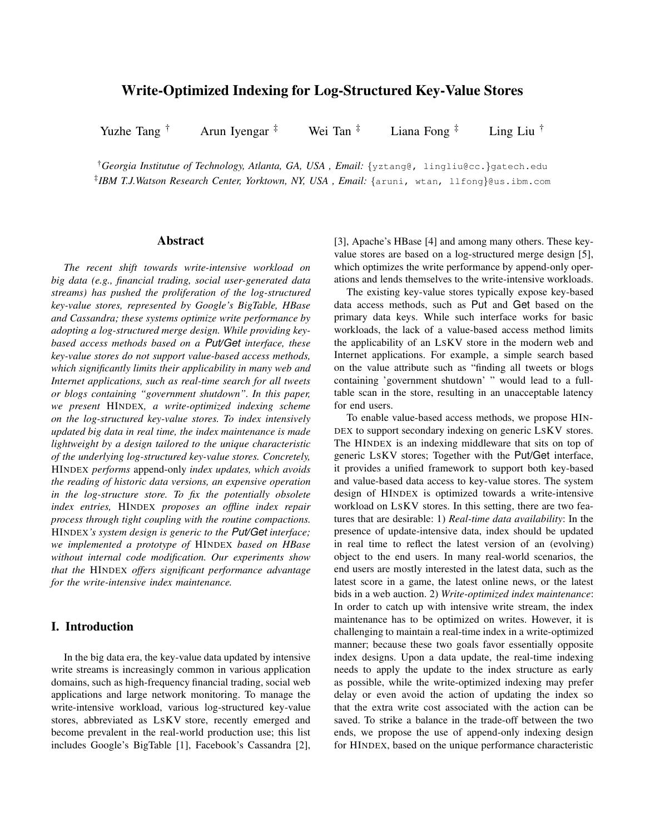# Write-Optimized Indexing for Log-Structured Key-Value Stores

Yuzhe Tang † Arun Iyengar  $\ddot{ }$  Wei Tan  $\ddot{ }$  Liana Fong  $\ddot{ }$  Ling Liu  $\ddot{ }$ 

†*Georgia Institutue of Technology, Atlanta, GA, USA , Email:* {yztang@, lingliu@cc.}gatech.edu ‡ *IBM T.J.Watson Research Center, Yorktown, NY, USA , Email:* {aruni, wtan, llfong}@us.ibm.com

#### Abstract

*The recent shift towards write-intensive workload on big data (e.g., financial trading, social user-generated data streams) has pushed the proliferation of the log-structured key-value stores, represented by Google's BigTable, HBase and Cassandra; these systems optimize write performance by adopting a log-structured merge design. While providing keybased access methods based on a Put/Get interface, these key-value stores do not support value-based access methods, which significantly limits their applicability in many web and Internet applications, such as real-time search for all tweets or blogs containing "government shutdown". In this paper, we present* HINDEX*, a write-optimized indexing scheme on the log-structured key-value stores. To index intensively updated big data in real time, the index maintenance is made lightweight by a design tailored to the unique characteristic of the underlying log-structured key-value stores. Concretely,* HINDEX *performs* append-only *index updates, which avoids the reading of historic data versions, an expensive operation in the log-structure store. To fix the potentially obsolete index entries,* HINDEX *proposes an offline index repair process through tight coupling with the routine compactions.* HINDEX*'s system design is generic to the Put/Get interface; we implemented a prototype of* HINDEX *based on HBase without internal code modification. Our experiments show that the* HINDEX *offers significant performance advantage for the write-intensive index maintenance.*

# I. Introduction

In the big data era, the key-value data updated by intensive write streams is increasingly common in various application domains, such as high-frequency financial trading, social web applications and large network monitoring. To manage the write-intensive workload, various log-structured key-value stores, abbreviated as LSKV store, recently emerged and become prevalent in the real-world production use; this list includes Google's BigTable [1], Facebook's Cassandra [2], [3], Apache's HBase [4] and among many others. These keyvalue stores are based on a log-structured merge design [5], which optimizes the write performance by append-only operations and lends themselves to the write-intensive workloads.

The existing key-value stores typically expose key-based data access methods, such as Put and Get based on the primary data keys. While such interface works for basic workloads, the lack of a value-based access method limits the applicability of an LSKV store in the modern web and Internet applications. For example, a simple search based on the value attribute such as "finding all tweets or blogs containing 'government shutdown' " would lead to a fulltable scan in the store, resulting in an unacceptable latency for end users.

To enable value-based access methods, we propose HIN-DEX to support secondary indexing on generic LSKV stores. The HINDEX is an indexing middleware that sits on top of generic LSKV stores; Together with the Put/Get interface, it provides a unified framework to support both key-based and value-based data access to key-value stores. The system design of HINDEX is optimized towards a write-intensive workload on LSKV stores. In this setting, there are two features that are desirable: 1) *Real-time data availability*: In the presence of update-intensive data, index should be updated in real time to reflect the latest version of an (evolving) object to the end users. In many real-world scenarios, the end users are mostly interested in the latest data, such as the latest score in a game, the latest online news, or the latest bids in a web auction. 2) *Write-optimized index maintenance*: In order to catch up with intensive write stream, the index maintenance has to be optimized on writes. However, it is challenging to maintain a real-time index in a write-optimized manner; because these two goals favor essentially opposite index designs. Upon a data update, the real-time indexing needs to apply the update to the index structure as early as possible, while the write-optimized indexing may prefer delay or even avoid the action of updating the index so that the extra write cost associated with the action can be saved. To strike a balance in the trade-off between the two ends, we propose the use of append-only indexing design for HINDEX, based on the unique performance characteristic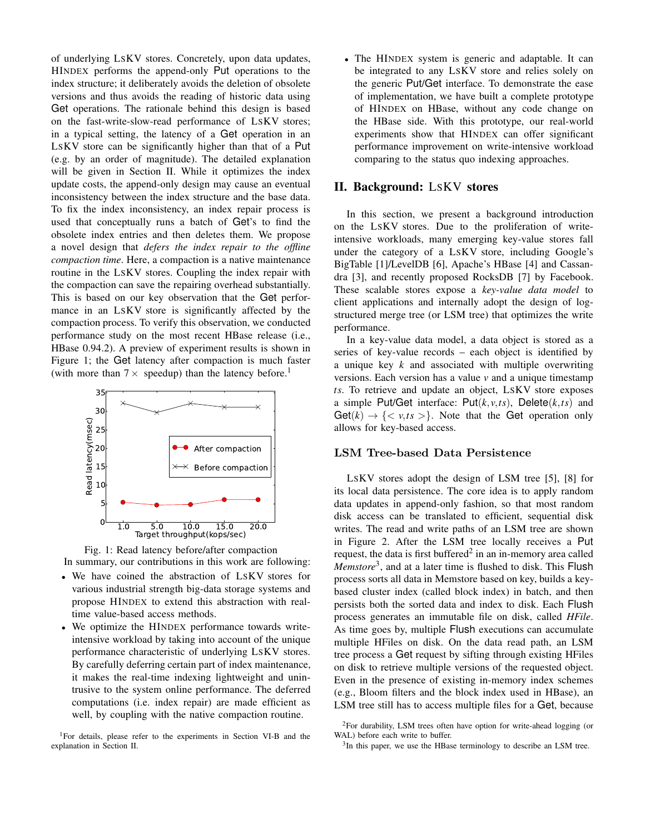of underlying LSKV stores. Concretely, upon data updates, HINDEX performs the append-only Put operations to the index structure; it deliberately avoids the deletion of obsolete versions and thus avoids the reading of historic data using Get operations. The rationale behind this design is based on the fast-write-slow-read performance of LSKV stores; in a typical setting, the latency of a Get operation in an LSKV store can be significantly higher than that of a Put (e.g. by an order of magnitude). The detailed explanation will be given in Section II. While it optimizes the index update costs, the append-only design may cause an eventual inconsistency between the index structure and the base data. To fix the index inconsistency, an index repair process is used that conceptually runs a batch of Get's to find the obsolete index entries and then deletes them. We propose a novel design that *defers the index repair to the offline compaction time*. Here, a compaction is a native maintenance routine in the LSKV stores. Coupling the index repair with the compaction can save the repairing overhead substantially. This is based on our key observation that the Get performance in an LSKV store is significantly affected by the compaction process. To verify this observation, we conducted performance study on the most recent HBase release (i.e., HBase 0.94.2). A preview of experiment results is shown in Figure 1; the Get latency after compaction is much faster (with more than  $7 \times$  speedup) than the latency before.<sup>1</sup>





- We have coined the abstraction of LSKV stores for various industrial strength big-data storage systems and propose HINDEX to extend this abstraction with realtime value-based access methods.
- We optimize the HINDEX performance towards writeintensive workload by taking into account of the unique performance characteristic of underlying LSKV stores. By carefully deferring certain part of index maintenance, it makes the real-time indexing lightweight and unintrusive to the system online performance. The deferred computations (i.e. index repair) are made efficient as well, by coupling with the native compaction routine.

• The HINDEX system is generic and adaptable. It can be integrated to any LSKV store and relies solely on the generic Put/Get interface. To demonstrate the ease of implementation, we have built a complete prototype of HINDEX on HBase, without any code change on the HBase side. With this prototype, our real-world experiments show that HINDEX can offer significant performance improvement on write-intensive workload comparing to the status quo indexing approaches.

## II. Background: LSKV stores

In this section, we present a background introduction on the LSKV stores. Due to the proliferation of writeintensive workloads, many emerging key-value stores fall under the category of a LSKV store, including Google's BigTable [1]/LevelDB [6], Apache's HBase [4] and Cassandra [3], and recently proposed RocksDB [7] by Facebook. These scalable stores expose a *key-value data model* to client applications and internally adopt the design of logstructured merge tree (or LSM tree) that optimizes the write performance.

In a key-value data model, a data object is stored as a series of key-value records – each object is identified by a unique key *k* and associated with multiple overwriting versions. Each version has a value *v* and a unique timestamp *ts*. To retrieve and update an object, LSKV store exposes a simple Put/Get interface: Put(*k*,*v*,*ts*), Delete(*k*,*ts*) and  $\text{Get}(k) \rightarrow \{ \langle v, ts \rangle \}$ . Note that the Get operation only allows for key-based access.

# LSM Tree-based Data Persistence

LSKV stores adopt the design of LSM tree [5], [8] for its local data persistence. The core idea is to apply random data updates in append-only fashion, so that most random disk access can be translated to efficient, sequential disk writes. The read and write paths of an LSM tree are shown in Figure 2. After the LSM tree locally receives a Put request, the data is first buffered $2$  in an in-memory area called *Memstore*<sup>3</sup> , and at a later time is flushed to disk. This Flush process sorts all data in Memstore based on key, builds a keybased cluster index (called block index) in batch, and then persists both the sorted data and index to disk. Each Flush process generates an immutable file on disk, called *HFile*. As time goes by, multiple Flush executions can accumulate multiple HFiles on disk. On the data read path, an LSM tree process a Get request by sifting through existing HFiles on disk to retrieve multiple versions of the requested object. Even in the presence of existing in-memory index schemes (e.g., Bloom filters and the block index used in HBase), an LSM tree still has to access multiple files for a Get, because

<sup>&</sup>lt;sup>1</sup>For details, please refer to the experiments in Section VI-B and the explanation in Section II.

 $2$ For durability, LSM trees often have option for write-ahead logging (or WAL) before each write to buffer.

<sup>&</sup>lt;sup>3</sup>In this paper, we use the HBase terminology to describe an LSM tree.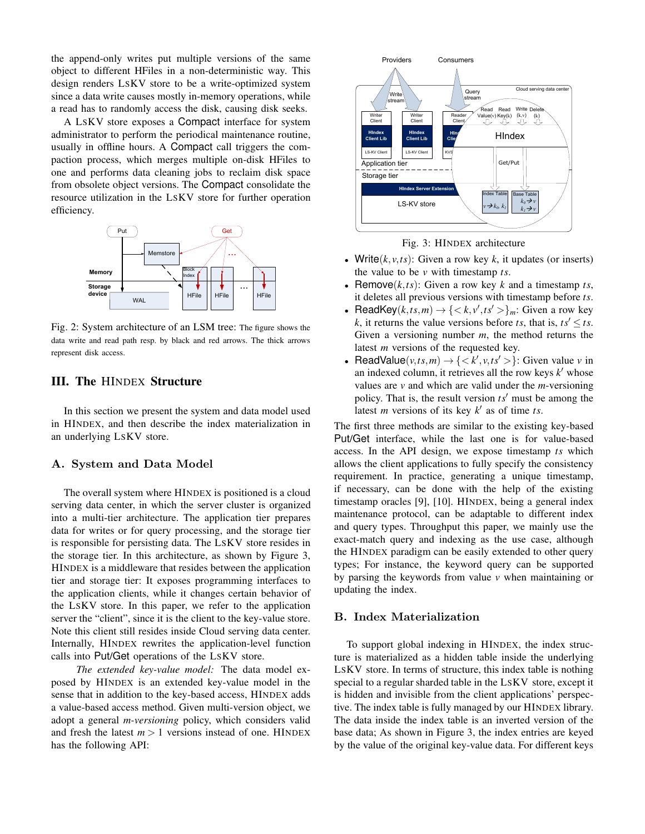the append-only writes put multiple versions of the same object to different HFiles in a non-deterministic way. This design renders LSKV store to be a write-optimized system since a data write causes mostly in-memory operations, while a read has to randomly access the disk, causing disk seeks.

A LSKV store exposes a Compact interface for system administrator to perform the periodical maintenance routine, usually in offline hours. A Compact call triggers the compaction process, which merges multiple on-disk HFiles to one and performs data cleaning jobs to reclaim disk space from obsolete object versions. The Compact consolidate the resource utilization in the LSKV store for further operation efficiency.



Fig. 2: System architecture of an LSM tree: The figure shows the data write and read path resp. by black and red arrows. The thick arrows represent disk access.

# III. The HINDEX Structure

In this section we present the system and data model used in HINDEX, and then describe the index materialization in an underlying LSKV store.

#### A. System and Data Model

The overall system where HINDEX is positioned is a cloud serving data center, in which the server cluster is organized into a multi-tier architecture. The application tier prepares data for writes or for query processing, and the storage tier is responsible for persisting data. The LSKV store resides in the storage tier. In this architecture, as shown by Figure 3, HINDEX is a middleware that resides between the application tier and storage tier: It exposes programming interfaces to the application clients, while it changes certain behavior of the LSKV store. In this paper, we refer to the application server the "client", since it is the client to the key-value store. Note this client still resides inside Cloud serving data center. Internally, HINDEX rewrites the application-level function calls into Put/Get operations of the LSKV store.

*The extended key-value model:* The data model exposed by HINDEX is an extended key-value model in the sense that in addition to the key-based access, HINDEX adds a value-based access method. Given multi-version object, we adopt a general *m-versioning* policy, which considers valid and fresh the latest  $m > 1$  versions instead of one. HINDEX has the following API:





- Write $(k, v, ts)$ : Given a row key  $k$ , it updates (or inserts) the value to be *v* with timestamp *ts*.
- Remove $(k, ts)$ : Given a row key  $k$  and a timestamp  $ts$ , it deletes all previous versions with timestamp before *ts*.
- ReadKey( $k, ts, m$ )  $\rightarrow \{ \langle k, v', ts' \rangle \}_{m}$ : Given a row key *k*, it returns the value versions before *ts*, that is,  $ts' \leq ts$ . Given a versioning number *m*, the method returns the latest *m* versions of the requested key.
- ReadValue( $v, ts, m$ )  $\rightarrow$  {  $\lt k', v, ts'$  > }: Given value *v* in an indexed column, it retrieves all the row keys *k* ′ whose values are *v* and which are valid under the *m*-versioning policy. That is, the result version *ts*′ must be among the latest *m* versions of its key  $k'$  as of time *ts*.

The first three methods are similar to the existing key-based Put/Get interface, while the last one is for value-based access. In the API design, we expose timestamp *ts* which allows the client applications to fully specify the consistency requirement. In practice, generating a unique timestamp, if necessary, can be done with the help of the existing timestamp oracles [9], [10]. HINDEX, being a general index maintenance protocol, can be adaptable to different index and query types. Throughput this paper, we mainly use the exact-match query and indexing as the use case, although the HINDEX paradigm can be easily extended to other query types; For instance, the keyword query can be supported by parsing the keywords from value *v* when maintaining or updating the index.

#### B. Index Materialization

To support global indexing in HINDEX, the index structure is materialized as a hidden table inside the underlying LSKV store. In terms of structure, this index table is nothing special to a regular sharded table in the LSKV store, except it is hidden and invisible from the client applications' perspective. The index table is fully managed by our HINDEX library. The data inside the index table is an inverted version of the base data; As shown in Figure 3, the index entries are keyed by the value of the original key-value data. For different keys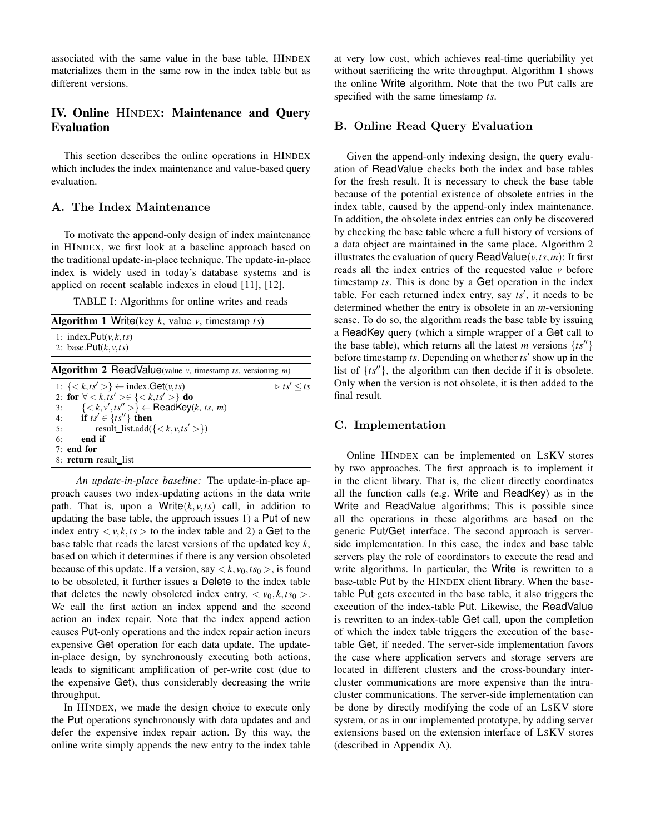associated with the same value in the base table, HINDEX materializes them in the same row in the index table but as different versions.

# IV. Online HINDEX: Maintenance and Query Evaluation

This section describes the online operations in HINDEX which includes the index maintenance and value-based query evaluation.

## A. The Index Maintenance

To motivate the append-only design of index maintenance in HINDEX, we first look at a baseline approach based on the traditional update-in-place technique. The update-in-place index is widely used in today's database systems and is applied on recent scalable indexes in cloud [11], [12].

TABLE I: Algorithms for online writes and reads

| <b>Algorithm 1 Write</b> (key $k$ , value $v$ , timestamp $ts$ )                                                                                                                                                                                                                                                      |                               |  |  |  |
|-----------------------------------------------------------------------------------------------------------------------------------------------------------------------------------------------------------------------------------------------------------------------------------------------------------------------|-------------------------------|--|--|--|
| 1: index. $Put(v, k, ts)$<br>2: base. $Put(k, v, ts)$                                                                                                                                                                                                                                                                 |                               |  |  |  |
| <b>Algorithm 2 ReadValue</b> (value $v$ , timestamp ts, versioning $m$ )                                                                                                                                                                                                                                              |                               |  |  |  |
| 1: $\{<\mathit{k},\mathit{ts}'>\}\leftarrow \text{index.Get}(v,\mathit{ts})$<br>2: for $\forall < k, ts' > \in \{ < k, ts' > \}$ do<br>$\{< k, v', ts''>\} \leftarrow \textsf{ReadKey}(k, ts, m)$<br>3:<br>if $ts' \in \{ts''\}$ then<br>4:<br>result_list.add({ $\langle k, v, ts' \rangle$ })<br>5:<br>end if<br>6: | $\triangleright$ ts' $\lt$ ts |  |  |  |
| $7:$ end for<br>8: return result list                                                                                                                                                                                                                                                                                 |                               |  |  |  |

*An update-in-place baseline:* The update-in-place approach causes two index-updating actions in the data write path. That is, upon a Write $(k, v, ts)$  call, in addition to updating the base table, the approach issues 1) a Put of new index entry  $\langle v, k, ts \rangle$  to the index table and 2) a Get to the base table that reads the latest versions of the updated key *k*, based on which it determines if there is any version obsoleted because of this update. If a version, say  $\langle k, v_0, ts_0 \rangle$ , is found to be obsoleted, it further issues a Delete to the index table that deletes the newly obsoleted index entry,  $\langle v_0, k, ts_0 \rangle$ . We call the first action an index append and the second action an index repair. Note that the index append action causes Put-only operations and the index repair action incurs expensive Get operation for each data update. The updatein-place design, by synchronously executing both actions, leads to significant amplification of per-write cost (due to the expensive Get), thus considerably decreasing the write throughput.

In HINDEX, we made the design choice to execute only the Put operations synchronously with data updates and and defer the expensive index repair action. By this way, the online write simply appends the new entry to the index table at very low cost, which achieves real-time queriability yet without sacrificing the write throughput. Algorithm 1 shows the online Write algorithm. Note that the two Put calls are specified with the same timestamp *ts*.

## B. Online Read Query Evaluation

Given the append-only indexing design, the query evaluation of ReadValue checks both the index and base tables for the fresh result. It is necessary to check the base table because of the potential existence of obsolete entries in the index table, caused by the append-only index maintenance. In addition, the obsolete index entries can only be discovered by checking the base table where a full history of versions of a data object are maintained in the same place. Algorithm 2 illustrates the evaluation of query ReadValue $(v, ts, m)$ : It first reads all the index entries of the requested value *v* before timestamp *ts*. This is done by a Get operation in the index table. For each returned index entry, say *ts*′ , it needs to be determined whether the entry is obsolete in an *m*-versioning sense. To do so, the algorithm reads the base table by issuing a ReadKey query (which a simple wrapper of a Get call to the base table), which returns all the latest *m* versions  $\{ts''\}$ before timestamp *ts*. Depending on whether *ts*′ show up in the list of  $\{ts''\}$ , the algorithm can then decide if it is obsolete. Only when the version is not obsolete, it is then added to the final result.

#### C. Implementation

Online HINDEX can be implemented on LSKV stores by two approaches. The first approach is to implement it in the client library. That is, the client directly coordinates all the function calls (e.g. Write and ReadKey) as in the Write and ReadValue algorithms; This is possible since all the operations in these algorithms are based on the generic Put/Get interface. The second approach is serverside implementation. In this case, the index and base table servers play the role of coordinators to execute the read and write algorithms. In particular, the Write is rewritten to a base-table Put by the HINDEX client library. When the basetable Put gets executed in the base table, it also triggers the execution of the index-table Put. Likewise, the ReadValue is rewritten to an index-table Get call, upon the completion of which the index table triggers the execution of the basetable Get, if needed. The server-side implementation favors the case where application servers and storage servers are located in different clusters and the cross-boundary intercluster communications are more expensive than the intracluster communications. The server-side implementation can be done by directly modifying the code of an LSKV store system, or as in our implemented prototype, by adding server extensions based on the extension interface of LSKV stores (described in Appendix A).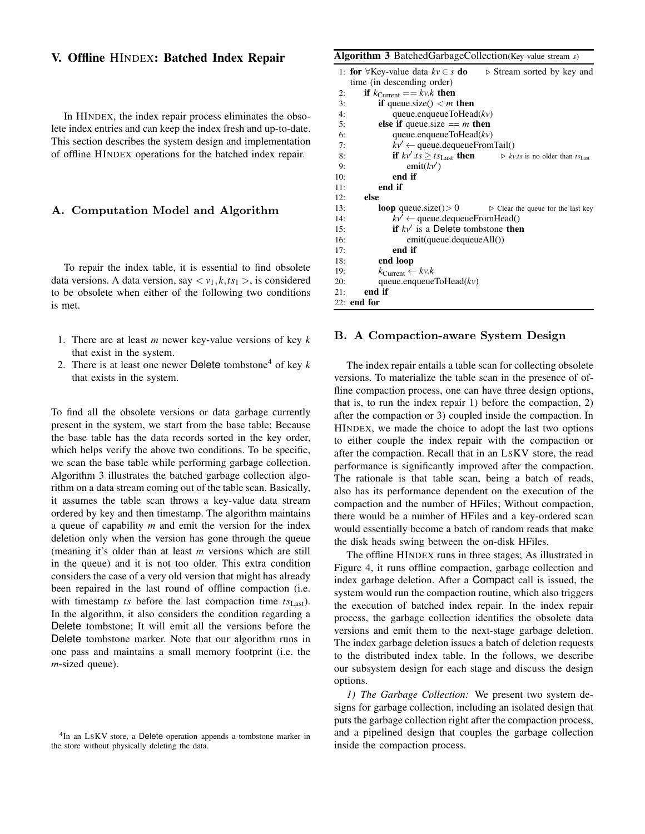### V. Offline HINDEX: Batched Index Repair

In HINDEX, the index repair process eliminates the obsolete index entries and can keep the index fresh and up-to-date. This section describes the system design and implementation of offline HINDEX operations for the batched index repair.

#### A. Computation Model and Algorithm

To repair the index table, it is essential to find obsolete data versions. A data version, say  $\langle v_1, k, ts_1 \rangle$ , is considered to be obsolete when either of the following two conditions is met.

- 1. There are at least *m* newer key-value versions of key *k* that exist in the system.
- 2. There is at least one newer Delete tombstone<sup>4</sup> of key  $k$ that exists in the system.

To find all the obsolete versions or data garbage currently present in the system, we start from the base table; Because the base table has the data records sorted in the key order, which helps verify the above two conditions. To be specific, we scan the base table while performing garbage collection. Algorithm 3 illustrates the batched garbage collection algorithm on a data stream coming out of the table scan. Basically, it assumes the table scan throws a key-value data stream ordered by key and then timestamp. The algorithm maintains a queue of capability *m* and emit the version for the index deletion only when the version has gone through the queue (meaning it's older than at least *m* versions which are still in the queue) and it is not too older. This extra condition considers the case of a very old version that might has already been repaired in the last round of offline compaction (i.e. with timestamp *ts* before the last compaction time *ts*Last). In the algorithm, it also considers the condition regarding a Delete tombstone; It will emit all the versions before the Delete tombstone marker. Note that our algorithm runs in one pass and maintains a small memory footprint (i.e. the *m*-sized queue).

# Algorithm 3 BatchedGarbageCollection(Key-value stream *s*)

|     | 1: <b>for</b> $\forall$ Key-value data $kv \in s$ <b>do</b> $\Rightarrow$ Stream sorted by key and             |  |  |  |  |
|-----|----------------------------------------------------------------------------------------------------------------|--|--|--|--|
|     | time (in descending order)                                                                                     |  |  |  |  |
| 2:  | if $k_{\text{Current}} == k v.k$ then                                                                          |  |  |  |  |
| 3:  | <b>if</b> queue.size() $\lt m$ then                                                                            |  |  |  |  |
| 4:  | queue.enqueueToHead $(kv)$                                                                                     |  |  |  |  |
| 5:  | else if queue size $== m$ then                                                                                 |  |  |  |  |
| 6:  | queue.enqueueToHead $(kv)$                                                                                     |  |  |  |  |
| 7:  | $kv' \leftarrow$ queue.dequeueFromTail()                                                                       |  |  |  |  |
| 8:  | <b>if</b> $kv'.ts \ge ts_{\text{Last}}$ <b>then</b> $\triangleright$ kv.ts is no older than $ts_{\text{Last}}$ |  |  |  |  |
| 9:  | emit(kv')                                                                                                      |  |  |  |  |
| 10: | end if                                                                                                         |  |  |  |  |
| 11: | end if                                                                                                         |  |  |  |  |
| 12: | else                                                                                                           |  |  |  |  |
| 13: | <b>loop</b> queue.size() > 0 $\triangleright$ Clear the queue for the last key                                 |  |  |  |  |
| 14: | $kv' \leftarrow$ queue.dequeueFromHead()                                                                       |  |  |  |  |
| 15: | if $kv'$ is a Delete tombstone then                                                                            |  |  |  |  |
| 16: | emit(queue.dequeueAll())                                                                                       |  |  |  |  |
| 17: | end if                                                                                                         |  |  |  |  |
| 18: | end loop                                                                                                       |  |  |  |  |
| 19: | $k_{\text{Current}} \leftarrow k v.k$                                                                          |  |  |  |  |
| 20: | queue.enqueueToHead $(kv)$                                                                                     |  |  |  |  |
| 21: | end if                                                                                                         |  |  |  |  |
|     | $22:$ end for                                                                                                  |  |  |  |  |

#### B. A Compaction-aware System Design

The index repair entails a table scan for collecting obsolete versions. To materialize the table scan in the presence of offline compaction process, one can have three design options, that is, to run the index repair 1) before the compaction, 2) after the compaction or 3) coupled inside the compaction. In HINDEX, we made the choice to adopt the last two options to either couple the index repair with the compaction or after the compaction. Recall that in an LSKV store, the read performance is significantly improved after the compaction. The rationale is that table scan, being a batch of reads, also has its performance dependent on the execution of the compaction and the number of HFiles; Without compaction, there would be a number of HFiles and a key-ordered scan would essentially become a batch of random reads that make the disk heads swing between the on-disk HFiles.

The offline HINDEX runs in three stages; As illustrated in Figure 4, it runs offline compaction, garbage collection and index garbage deletion. After a Compact call is issued, the system would run the compaction routine, which also triggers the execution of batched index repair. In the index repair process, the garbage collection identifies the obsolete data versions and emit them to the next-stage garbage deletion. The index garbage deletion issues a batch of deletion requests to the distributed index table. In the follows, we describe our subsystem design for each stage and discuss the design options.

*1) The Garbage Collection:* We present two system designs for garbage collection, including an isolated design that puts the garbage collection right after the compaction process, and a pipelined design that couples the garbage collection inside the compaction process.

<sup>&</sup>lt;sup>4</sup>In an LSKV store, a Delete operation appends a tombstone marker in the store without physically deleting the data.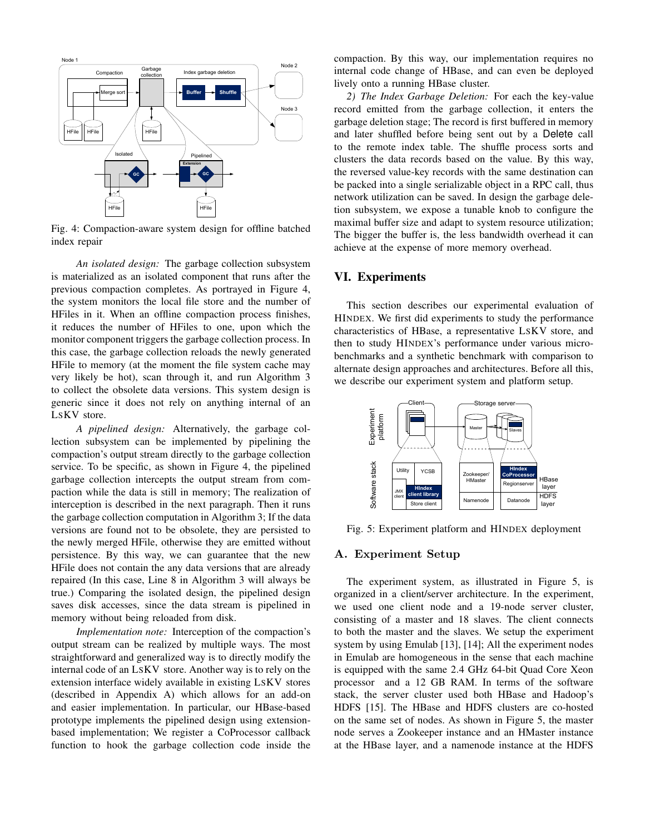

Fig. 4: Compaction-aware system design for offline batched index repair

*An isolated design:* The garbage collection subsystem is materialized as an isolated component that runs after the previous compaction completes. As portrayed in Figure 4, the system monitors the local file store and the number of HFiles in it. When an offline compaction process finishes, it reduces the number of HFiles to one, upon which the monitor component triggers the garbage collection process. In this case, the garbage collection reloads the newly generated HFile to memory (at the moment the file system cache may very likely be hot), scan through it, and run Algorithm 3 to collect the obsolete data versions. This system design is generic since it does not rely on anything internal of an LSKV store.

*A pipelined design:* Alternatively, the garbage collection subsystem can be implemented by pipelining the compaction's output stream directly to the garbage collection service. To be specific, as shown in Figure 4, the pipelined garbage collection intercepts the output stream from compaction while the data is still in memory; The realization of interception is described in the next paragraph. Then it runs the garbage collection computation in Algorithm 3; If the data versions are found not to be obsolete, they are persisted to the newly merged HFile, otherwise they are emitted without persistence. By this way, we can guarantee that the new HFile does not contain the any data versions that are already repaired (In this case, Line 8 in Algorithm 3 will always be true.) Comparing the isolated design, the pipelined design saves disk accesses, since the data stream is pipelined in memory without being reloaded from disk.

*Implementation note:* Interception of the compaction's output stream can be realized by multiple ways. The most straightforward and generalized way is to directly modify the internal code of an LSKV store. Another way is to rely on the extension interface widely available in existing LSKV stores (described in Appendix A) which allows for an add-on and easier implementation. In particular, our HBase-based prototype implements the pipelined design using extensionbased implementation; We register a CoProcessor callback function to hook the garbage collection code inside the compaction. By this way, our implementation requires no internal code change of HBase, and can even be deployed lively onto a running HBase cluster.

*2) The Index Garbage Deletion:* For each the key-value record emitted from the garbage collection, it enters the garbage deletion stage; The record is first buffered in memory and later shuffled before being sent out by a Delete call to the remote index table. The shuffle process sorts and clusters the data records based on the value. By this way, the reversed value-key records with the same destination can be packed into a single serializable object in a RPC call, thus network utilization can be saved. In design the garbage deletion subsystem, we expose a tunable knob to configure the maximal buffer size and adapt to system resource utilization; The bigger the buffer is, the less bandwidth overhead it can achieve at the expense of more memory overhead.

## VI. Experiments

This section describes our experimental evaluation of HINDEX. We first did experiments to study the performance characteristics of HBase, a representative LSKV store, and then to study HINDEX's performance under various microbenchmarks and a synthetic benchmark with comparison to alternate design approaches and architectures. Before all this, we describe our experiment system and platform setup.



Fig. 5: Experiment platform and HINDEX deployment

#### A. Experiment Setup

The experiment system, as illustrated in Figure 5, is organized in a client/server architecture. In the experiment, we used one client node and a 19-node server cluster, consisting of a master and 18 slaves. The client connects to both the master and the slaves. We setup the experiment system by using Emulab [13], [14]; All the experiment nodes in Emulab are homogeneous in the sense that each machine is equipped with the same 2.4 GHz 64-bit Quad Core Xeon processor and a 12 GB RAM. In terms of the software stack, the server cluster used both HBase and Hadoop's HDFS [15]. The HBase and HDFS clusters are co-hosted on the same set of nodes. As shown in Figure 5, the master node serves a Zookeeper instance and an HMaster instance at the HBase layer, and a namenode instance at the HDFS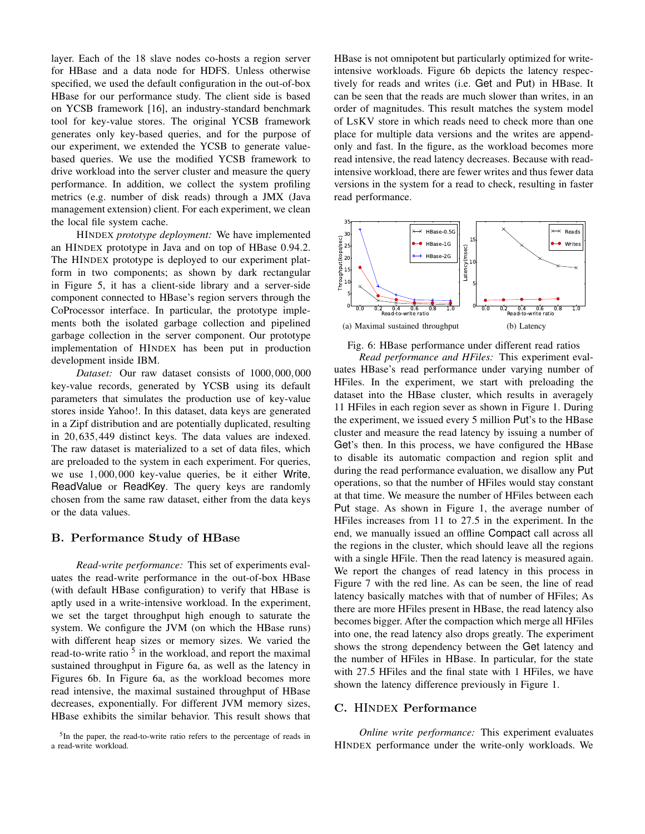layer. Each of the 18 slave nodes co-hosts a region server for HBase and a data node for HDFS. Unless otherwise specified, we used the default configuration in the out-of-box HBase for our performance study. The client side is based on YCSB framework [16], an industry-standard benchmark tool for key-value stores. The original YCSB framework generates only key-based queries, and for the purpose of our experiment, we extended the YCSB to generate valuebased queries. We use the modified YCSB framework to drive workload into the server cluster and measure the query performance. In addition, we collect the system profiling metrics (e.g. number of disk reads) through a JMX (Java management extension) client. For each experiment, we clean the local file system cache.

HINDEX *prototype deployment:* We have implemented an HINDEX prototype in Java and on top of HBase 0.94.2. The HINDEX prototype is deployed to our experiment platform in two components; as shown by dark rectangular in Figure 5, it has a client-side library and a server-side component connected to HBase's region servers through the CoProcessor interface. In particular, the prototype implements both the isolated garbage collection and pipelined garbage collection in the server component. Our prototype implementation of HINDEX has been put in production development inside IBM.

*Dataset:* Our raw dataset consists of 1000,000,000 key-value records, generated by YCSB using its default parameters that simulates the production use of key-value stores inside Yahoo!. In this dataset, data keys are generated in a Zipf distribution and are potentially duplicated, resulting in 20,635,449 distinct keys. The data values are indexed. The raw dataset is materialized to a set of data files, which are preloaded to the system in each experiment. For queries, we use 1,000,000 key-value queries, be it either Write, ReadValue or ReadKey. The query keys are randomly chosen from the same raw dataset, either from the data keys or the data values.

#### B. Performance Study of HBase

*Read-write performance:* This set of experiments evaluates the read-write performance in the out-of-box HBase (with default HBase configuration) to verify that HBase is aptly used in a write-intensive workload. In the experiment, we set the target throughput high enough to saturate the system. We configure the JVM (on which the HBase runs) with different heap sizes or memory sizes. We varied the read-to-write ratio<sup>5</sup> in the workload, and report the maximal sustained throughput in Figure 6a, as well as the latency in Figures 6b. In Figure 6a, as the workload becomes more read intensive, the maximal sustained throughput of HBase decreases, exponentially. For different JVM memory sizes, HBase exhibits the similar behavior. This result shows that HBase is not omnipotent but particularly optimized for writeintensive workloads. Figure 6b depicts the latency respectively for reads and writes (i.e. Get and Put) in HBase. It can be seen that the reads are much slower than writes, in an order of magnitudes. This result matches the system model of LSKV store in which reads need to check more than one place for multiple data versions and the writes are appendonly and fast. In the figure, as the workload becomes more read intensive, the read latency decreases. Because with readintensive workload, there are fewer writes and thus fewer data versions in the system for a read to check, resulting in faster read performance.





*Read performance and HFiles:* This experiment evaluates HBase's read performance under varying number of HFiles. In the experiment, we start with preloading the dataset into the HBase cluster, which results in averagely 11 HFiles in each region sever as shown in Figure 1. During the experiment, we issued every 5 million Put's to the HBase cluster and measure the read latency by issuing a number of Get's then. In this process, we have configured the HBase to disable its automatic compaction and region split and during the read performance evaluation, we disallow any Put operations, so that the number of HFiles would stay constant at that time. We measure the number of HFiles between each Put stage. As shown in Figure 1, the average number of HFiles increases from 11 to 27.5 in the experiment. In the end, we manually issued an offline Compact call across all the regions in the cluster, which should leave all the regions with a single HFile. Then the read latency is measured again. We report the changes of read latency in this process in Figure 7 with the red line. As can be seen, the line of read latency basically matches with that of number of HFiles; As there are more HFiles present in HBase, the read latency also becomes bigger. After the compaction which merge all HFiles into one, the read latency also drops greatly. The experiment shows the strong dependency between the Get latency and the number of HFiles in HBase. In particular, for the state with 27.5 HFiles and the final state with 1 HFiles, we have shown the latency difference previously in Figure 1.

#### C. HINDEX Performance

*Online write performance:* This experiment evaluates HINDEX performance under the write-only workloads. We

<sup>&</sup>lt;sup>5</sup>In the paper, the read-to-write ratio refers to the percentage of reads in a read-write workload.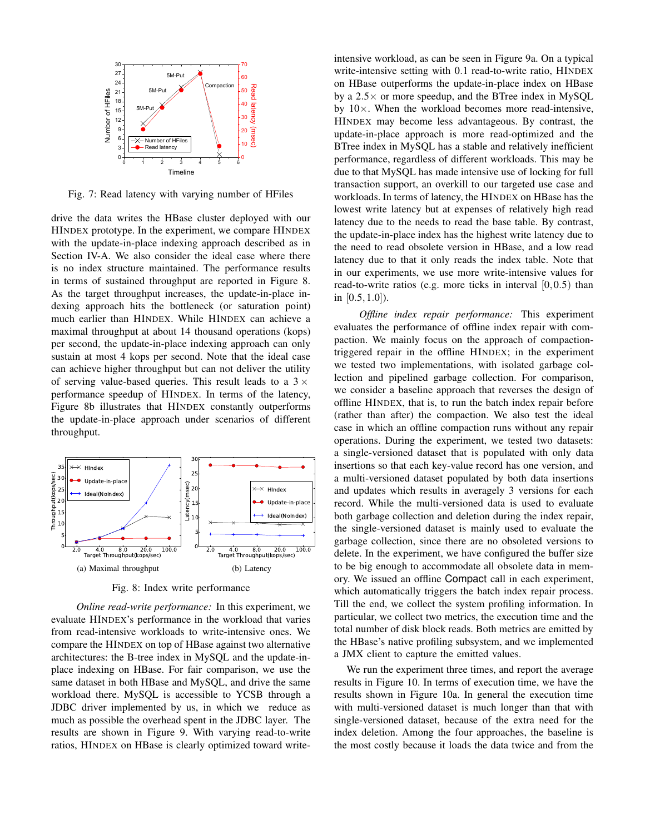

Fig. 7: Read latency with varying number of HFiles

drive the data writes the HBase cluster deployed with our HINDEX prototype. In the experiment, we compare HINDEX with the update-in-place indexing approach described as in Section IV-A. We also consider the ideal case where there is no index structure maintained. The performance results in terms of sustained throughput are reported in Figure 8. As the target throughput increases, the update-in-place indexing approach hits the bottleneck (or saturation point) much earlier than HINDEX. While HINDEX can achieve a maximal throughput at about 14 thousand operations (kops) per second, the update-in-place indexing approach can only sustain at most 4 kops per second. Note that the ideal case can achieve higher throughput but can not deliver the utility of serving value-based queries. This result leads to a  $3 \times$ performance speedup of HINDEX. In terms of the latency, Figure 8b illustrates that HINDEX constantly outperforms the update-in-place approach under scenarios of different throughput.



Fig. 8: Index write performance

*Online read-write performance:* In this experiment, we evaluate HINDEX's performance in the workload that varies from read-intensive workloads to write-intensive ones. We compare the HINDEX on top of HBase against two alternative architectures: the B-tree index in MySQL and the update-inplace indexing on HBase. For fair comparison, we use the same dataset in both HBase and MySQL, and drive the same workload there. MySQL is accessible to YCSB through a JDBC driver implemented by us, in which we reduce as much as possible the overhead spent in the JDBC layer. The results are shown in Figure 9. With varying read-to-write ratios, HINDEX on HBase is clearly optimized toward writeintensive workload, as can be seen in Figure 9a. On a typical write-intensive setting with 0.1 read-to-write ratio, HINDEX on HBase outperforms the update-in-place index on HBase by a  $2.5\times$  or more speedup, and the BTree index in MySQL by  $10\times$ . When the workload becomes more read-intensive, HINDEX may become less advantageous. By contrast, the update-in-place approach is more read-optimized and the BTree index in MySQL has a stable and relatively inefficient performance, regardless of different workloads. This may be due to that MySQL has made intensive use of locking for full transaction support, an overkill to our targeted use case and workloads. In terms of latency, the HINDEX on HBase has the lowest write latency but at expenses of relatively high read latency due to the needs to read the base table. By contrast, the update-in-place index has the highest write latency due to the need to read obsolete version in HBase, and a low read latency due to that it only reads the index table. Note that in our experiments, we use more write-intensive values for read-to-write ratios (e.g. more ticks in interval  $[0,0.5)$  than in [0.5,1.0]).

*Offline index repair performance:* This experiment evaluates the performance of offline index repair with compaction. We mainly focus on the approach of compactiontriggered repair in the offline HINDEX; in the experiment we tested two implementations, with isolated garbage collection and pipelined garbage collection. For comparison, we consider a baseline approach that reverses the design of offline HINDEX, that is, to run the batch index repair before (rather than after) the compaction. We also test the ideal case in which an offline compaction runs without any repair operations. During the experiment, we tested two datasets: a single-versioned dataset that is populated with only data insertions so that each key-value record has one version, and a multi-versioned dataset populated by both data insertions and updates which results in averagely 3 versions for each record. While the multi-versioned data is used to evaluate both garbage collection and deletion during the index repair, the single-versioned dataset is mainly used to evaluate the garbage collection, since there are no obsoleted versions to delete. In the experiment, we have configured the buffer size to be big enough to accommodate all obsolete data in memory. We issued an offline Compact call in each experiment, which automatically triggers the batch index repair process. Till the end, we collect the system profiling information. In particular, we collect two metrics, the execution time and the total number of disk block reads. Both metrics are emitted by the HBase's native profiling subsystem, and we implemented a JMX client to capture the emitted values.

We run the experiment three times, and report the average results in Figure 10. In terms of execution time, we have the results shown in Figure 10a. In general the execution time with multi-versioned dataset is much longer than that with single-versioned dataset, because of the extra need for the index deletion. Among the four approaches, the baseline is the most costly because it loads the data twice and from the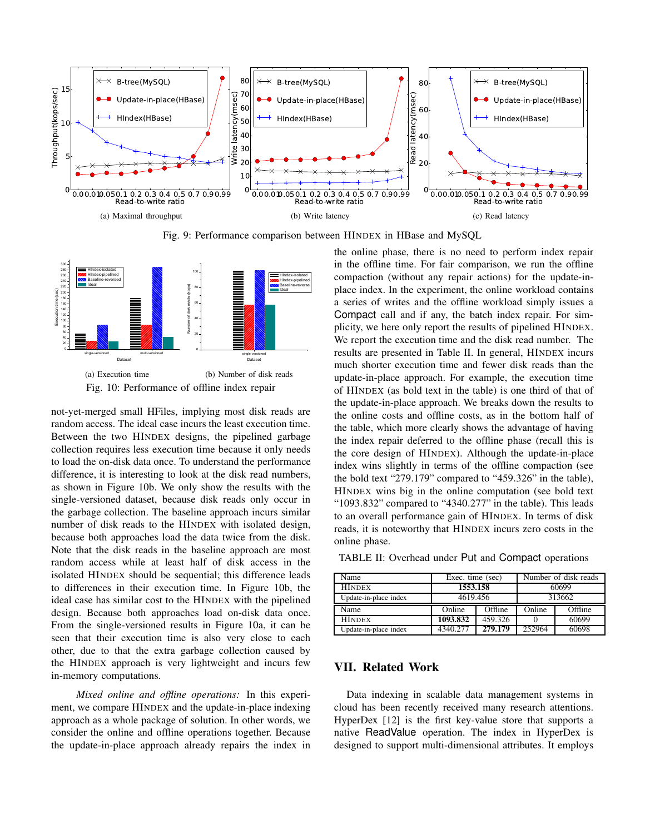

Fig. 9: Performance comparison between HINDEX in HBase and MySQL



not-yet-merged small HFiles, implying most disk reads are random access. The ideal case incurs the least execution time. Between the two HINDEX designs, the pipelined garbage collection requires less execution time because it only needs to load the on-disk data once. To understand the performance difference, it is interesting to look at the disk read numbers, as shown in Figure 10b. We only show the results with the single-versioned dataset, because disk reads only occur in the garbage collection. The baseline approach incurs similar number of disk reads to the HINDEX with isolated design, because both approaches load the data twice from the disk. Note that the disk reads in the baseline approach are most random access while at least half of disk access in the isolated HINDEX should be sequential; this difference leads to differences in their execution time. In Figure 10b, the ideal case has similar cost to the HINDEX with the pipelined design. Because both approaches load on-disk data once. From the single-versioned results in Figure 10a, it can be seen that their execution time is also very close to each other, due to that the extra garbage collection caused by the HINDEX approach is very lightweight and incurs few in-memory computations.

*Mixed online and offline operations:* In this experiment, we compare HINDEX and the update-in-place indexing approach as a whole package of solution. In other words, we consider the online and offline operations together. Because the update-in-place approach already repairs the index in

the online phase, there is no need to perform index repair in the offline time. For fair comparison, we run the offline compaction (without any repair actions) for the update-inplace index. In the experiment, the online workload contains a series of writes and the offline workload simply issues a Compact call and if any, the batch index repair. For simplicity, we here only report the results of pipelined HINDEX. We report the execution time and the disk read number. The results are presented in Table II. In general, HINDEX incurs much shorter execution time and fewer disk reads than the update-in-place approach. For example, the execution time of HINDEX (as bold text in the table) is one third of that of the update-in-place approach. We breaks down the results to the online costs and offline costs, as in the bottom half of the table, which more clearly shows the advantage of having the index repair deferred to the offline phase (recall this is the core design of HINDEX). Although the update-in-place index wins slightly in terms of the offline compaction (see the bold text "279.179" compared to "459.326" in the table), HINDEX wins big in the online computation (see bold text "1093.832" compared to "4340.277" in the table). This leads to an overall performance gain of HINDEX. In terms of disk reads, it is noteworthy that HINDEX incurs zero costs in the online phase.

TABLE II: Overhead under Put and Compact operations

| Name                  | Exec. time (sec) |         | Number of disk reads |         |
|-----------------------|------------------|---------|----------------------|---------|
| <b>HINDEX</b>         | 1553.158         |         | 60699                |         |
| Update-in-place index | 4619.456         |         | 313662               |         |
| Name                  | Online           | Offline | Online               | Offline |
| <b>HINDEX</b>         | 1093.832         | 459.326 |                      | 60699   |
| Update-in-place index | 4340.277         | 279.179 | 252964               | 60698   |

## VII. Related Work

Data indexing in scalable data management systems in cloud has been recently received many research attentions. HyperDex [12] is the first key-value store that supports a native ReadValue operation. The index in HyperDex is designed to support multi-dimensional attributes. It employs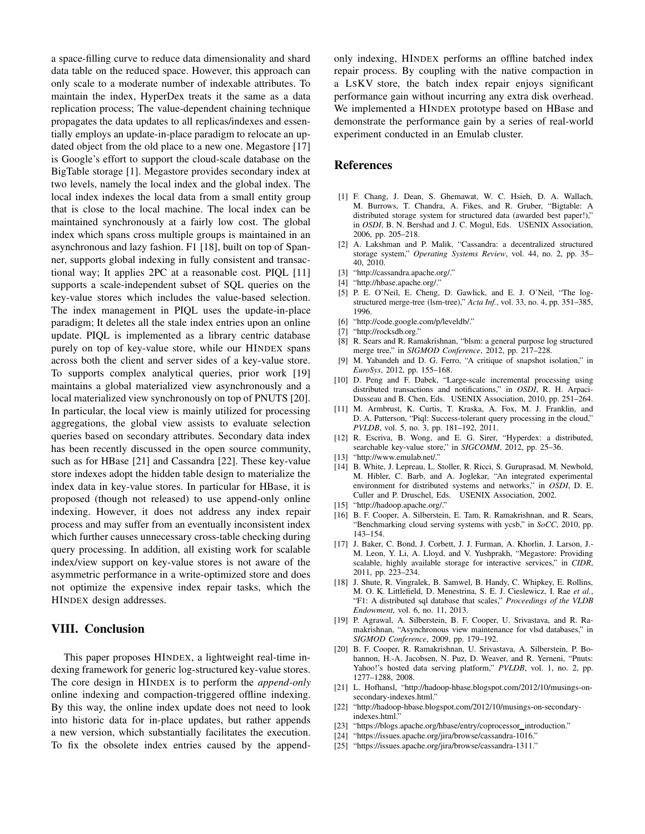a space-filling curve to reduce data dimensionality and shard data table on the reduced space. However, this approach can only scale to a moderate number of indexable attributes. To maintain the index, HyperDex treats it the same as a data replication process; The value-dependent chaining technique propagates the data updates to all replicas/indexes and essentially employs an update-in-place paradigm to relocate an updated object from the old place to a new one. Megastore [17] is Google's effort to support the cloud-scale database on the BigTable storage [1]. Megastore provides secondary index at two levels, namely the local index and the global index. The local index indexes the local data from a small entity group that is close to the local machine. The local index can be maintained synchronously at a fairly low cost. The global index which spans cross multiple groups is maintained in an asynchronous and lazy fashion. F1 [18], built on top of Spanner, supports global indexing in fully consistent and transactional way; It applies 2PC at a reasonable cost. PIQL [11] supports a scale-independent subset of SQL queries on the key-value stores which includes the value-based selection. The index management in PIQL uses the update-in-place paradigm; It deletes all the stale index entries upon an online update. PIQL is implemented as a library centric database purely on top of key-value store, while our HINDEX spans across both the client and server sides of a key-value store. To supports complex analytical queries, prior work [19] maintains a global materialized view asynchronously and a local materialized view synchronously on top of PNUTS [20]. In particular, the local view is mainly utilized for processing aggregations, the global view assists to evaluate selection queries based on secondary attributes. Secondary data index has been recently discussed in the open source community, such as for HBase [21] and Cassandra [22]. These key-value store indexes adopt the hidden table design to materialize the index data in key-value stores. In particular for HBase, it is proposed (though not released) to use append-only online indexing. However, it does not address any index repair process and may suffer from an eventually inconsistent index which further causes unnecessary cross-table checking during query processing. In addition, all existing work for scalable index/view support on key-value stores is not aware of the asymmetric performance in a write-optimized store and does not optimize the expensive index repair tasks, which the HINDEX design addresses.

### VIII. Conclusion

This paper proposes HINDEX, a lightweight real-time indexing framework for generic log-structured key-value stores. The core design in HINDEX is to perform the *append-only* online indexing and compaction-triggered offline indexing. By this way, the online index update does not need to look into historic data for in-place updates, but rather appends a new version, which substantially facilitates the execution. To fix the obsolete index entries caused by the appendonly indexing, HINDEX performs an offline batched index repair process. By coupling with the native compaction in a LSKV store, the batch index repair enjoys significant performance gain without incurring any extra disk overhead. We implemented a HINDEX prototype based on HBase and demonstrate the performance gain by a series of real-world experiment conducted in an Emulab cluster.

#### References

- [1] F. Chang, J. Dean, S. Ghemawat, W. C. Hsieh, D. A. Wallach, M. Burrows, T. Chandra, A. Fikes, and R. Gruber, "Bigtable: A distributed storage system for structured data (awarded best paper!)," in *OSDI*, B. N. Bershad and J. C. Mogul, Eds. USENIX Association, 2006, pp. 205–218.
- [2] A. Lakshman and P. Malik, "Cassandra: a decentralized structured storage system," *Operating Systems Review*, vol. 44, no. 2, pp. 35– 40, 2010.
- [3] "http://cassandra.apache.org/."
- [4] "http://hbase.apache.org/."
- [5] P. E. O'Neil, E. Cheng, D. Gawlick, and E. J. O'Neil, "The logstructured merge-tree (lsm-tree)," *Acta Inf.*, vol. 33, no. 4, pp. 351–385, 1996.
- [6] "http://code.google.com/p/leveldb/."
- [7] "http://rocksdb.org."
- [8] R. Sears and R. Ramakrishnan, "blsm: a general purpose log structured merge tree," in *SIGMOD Conference*, 2012, pp. 217–228.
- [9] M. Yabandeh and D. G. Ferro, "A critique of snapshot isolation," in *EuroSys*, 2012, pp. 155–168.
- [10] D. Peng and F. Dabek, "Large-scale incremental processing using distributed transactions and notifications," in *OSDI*, R. H. Arpaci-Dusseau and B. Chen, Eds. USENIX Association, 2010, pp. 251–264.
- [11] M. Armbrust, K. Curtis, T. Kraska, A. Fox, M. J. Franklin, and D. A. Patterson, "Piql: Success-tolerant query processing in the cloud," *PVLDB*, vol. 5, no. 3, pp. 181–192, 2011.
- [12] R. Escriva, B. Wong, and E. G. Sirer, "Hyperdex: a distributed, searchable key-value store," in *SIGCOMM*, 2012, pp. 25–36.
- [13] "http://www.emulab.net/."
- [14] B. White, J. Lepreau, L. Stoller, R. Ricci, S. Guruprasad, M. Newbold, M. Hibler, C. Barb, and A. Joglekar, "An integrated experimental environment for distributed systems and networks," in *OSDI*, D. E. Culler and P. Druschel, Eds. USENIX Association, 2002.
- [15] "http://hadoop.apache.org/."
- [16] B. F. Cooper, A. Silberstein, E. Tam, R. Ramakrishnan, and R. Sears, "Benchmarking cloud serving systems with ycsb," in *SoCC*, 2010, pp. 143–154.
- [17] J. Baker, C. Bond, J. Corbett, J. J. Furman, A. Khorlin, J. Larson, J.- M. Leon, Y. Li, A. Lloyd, and V. Yushprakh, "Megastore: Providing scalable, highly available storage for interactive services," in *CIDR*, 2011, pp. 223–234.
- [18] J. Shute, R. Vingralek, B. Samwel, B. Handy, C. Whipkey, E. Rollins, M. O. K. Littlefield, D. Menestrina, S. E. J. Cieslewicz, I. Rae *et al.*, "F1: A distributed sql database that scales," *Proceedings of the VLDB Endowment*, vol. 6, no. 11, 2013.
- [19] P. Agrawal, A. Silberstein, B. F. Cooper, U. Srivastava, and R. Ramakrishnan, "Asynchronous view maintenance for vlsd databases," in *SIGMOD Conference*, 2009, pp. 179–192.
- [20] B. F. Cooper, R. Ramakrishnan, U. Srivastava, A. Silberstein, P. Bohannon, H.-A. Jacobsen, N. Puz, D. Weaver, and R. Yerneni, "Pnuts: Yahoo!'s hosted data serving platform," PVLDB, vol. 1, no. 2, pp. 1277–1288, 2008.
- [21] L. Hofhansl, "http://hadoop-hbase.blogspot.com/2012/10/musings-onsecondary-indexes.html."
- [22] "http://hadoop-hbase.blogspot.com/2012/10/musings-on-secondaryindexes.html."
- [23] "https://blogs.apache.org/hbase/entry/coprocessor\_introduction."
- [24] "https://issues.apache.org/jira/browse/cassandra-1016."
- [25] "https://issues.apache.org/jira/browse/cassandra-1311."